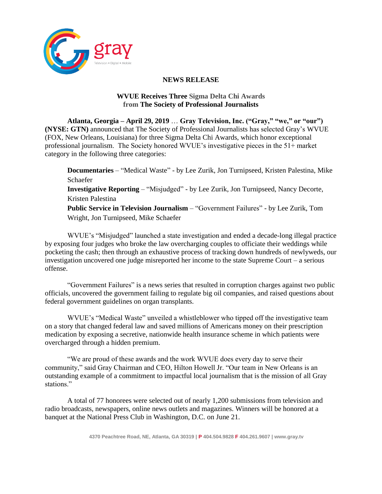

## **NEWS RELEASE**

## **WVUE Receives Three Sigma Delta Chi Awards from The [Society of Professional Journalists](https://www.spj.org/index.asp)**

**Atlanta, Georgia – April 29, 2019** … **Gray Television, Inc. ("Gray," "we," or "our") (NYSE: GTN)** announced that The Society of Professional Journalists has selected Gray's WVUE (FOX, New Orleans, Louisiana) for three Sigma Delta Chi Awards, which honor exceptional professional journalism. The Society honored WVUE's investigative pieces in the 51+ market category in the following three categories:

**Documentaries** – "Medical Waste" - by Lee Zurik, Jon Turnipseed, Kristen Palestina, Mike Schaefer

**Investigative Reporting** – "Misjudged" - by Lee Zurik, Jon Turnipseed, Nancy Decorte, Kristen Palestina

**Public Service in Television Journalism** – "Government Failures" - by Lee Zurik, Tom Wright, Jon Turnipseed, Mike Schaefer

WVUE's "Misjudged" launched a state investigation and ended a decade-long illegal practice by exposing four judges who broke the law overcharging couples to officiate their weddings while pocketing the cash; then through an exhaustive process of tracking down hundreds of newlyweds, our investigation uncovered one judge misreported her income to the state Supreme Court – a serious offense.

"Government Failures" is a news series that resulted in corruption charges against two public officials, uncovered the government failing to regulate big oil companies, and raised questions about federal government guidelines on organ transplants.

WVUE's "Medical Waste" unveiled a whistleblower who tipped off the investigative team on a story that changed federal law and saved millions of Americans money on their prescription medication by exposing a secretive, nationwide health insurance scheme in which patients were overcharged through a hidden premium.

"We are proud of these awards and the work WVUE does every day to serve their community," said Gray Chairman and CEO, Hilton Howell Jr. "Our team in New Orleans is an outstanding example of a commitment to impactful local journalism that is the mission of all Gray stations."

A total of 77 honorees were selected out of nearly 1,200 submissions from television and radio broadcasts, newspapers, online news outlets and magazines. Winners will be honored at a [banquet at the National Press Club in Washington, D.C.](https://www.spj.org/a-sdx-banquet.asp) on June 21.